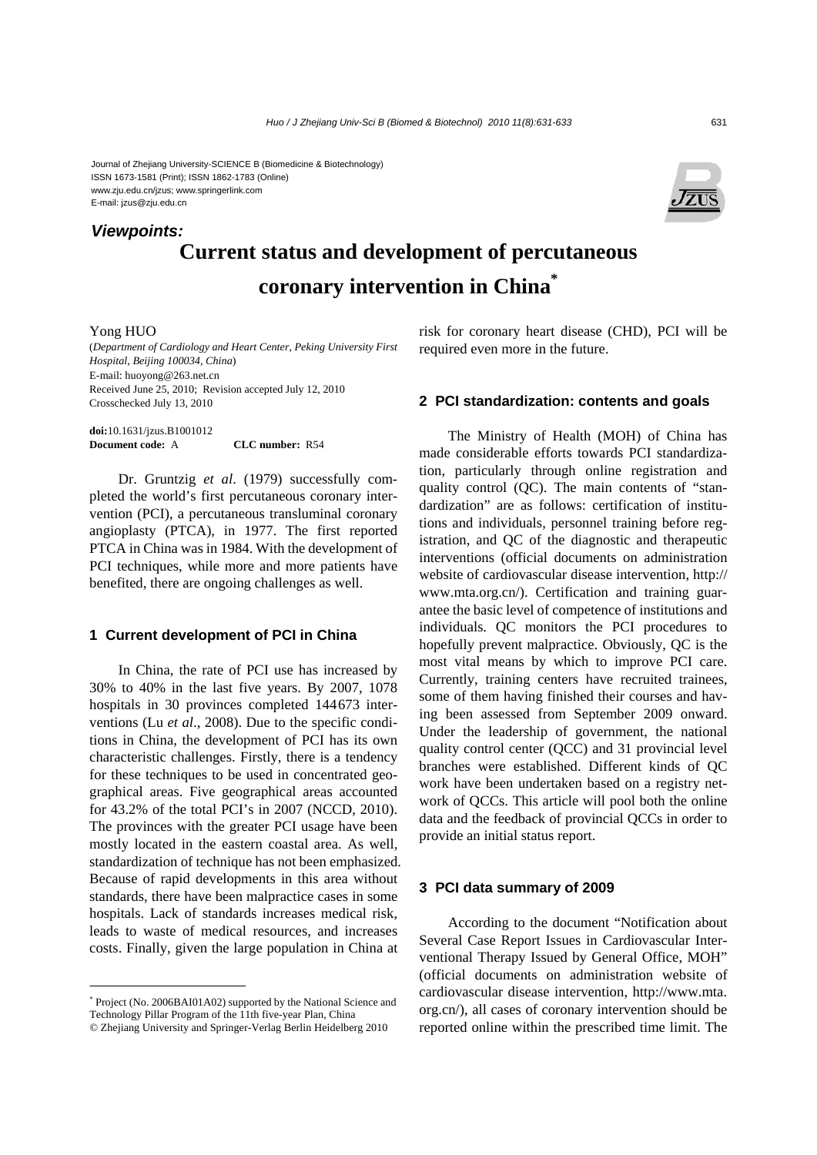Journal of Zhejiang University-SCIENCE B (Biomedicine & Biotechnology) ISSN 1673-1581 (Print); ISSN 1862-1783 (Online) www.zju.edu.cn/jzus; www.springerlink.com E-mail: jzus@zju.edu.cn

# **Current status and development of percutaneous coronary intervention in China\*** *Viewpoints:*

## Yong HUO

(*Department of Cardiology and Heart Center, Peking University First Hospital, Beijing 100034, China*) E-mail: huoyong@263.net.cn Received June 25, 2010; Revision accepted July 12, 2010 Crosschecked July 13, 2010

**doi:**10.1631/jzus.B1001012 **Document code:** A **CLC number:** R54

Dr. Gruntzig *et al*. (1979) successfully completed the world's first percutaneous coronary intervention (PCI), a percutaneous transluminal coronary angioplasty (PTCA), in 1977. The first reported PTCA in China was in 1984. With the development of PCI techniques, while more and more patients have benefited, there are ongoing challenges as well.

## **1 Current development of PCI in China**

In China, the rate of PCI use has increased by 30% to 40% in the last five years. By 2007, 1078 hospitals in 30 provinces completed 144673 interventions (Lu *et al*., 2008). Due to the specific conditions in China, the development of PCI has its own characteristic challenges. Firstly, there is a tendency for these techniques to be used in concentrated geographical areas. Five geographical areas accounted for 43.2% of the total PCI's in 2007 (NCCD, 2010). The provinces with the greater PCI usage have been mostly located in the eastern coastal area. As well, standardization of technique has not been emphasized. Because of rapid developments in this area without standards, there have been malpractice cases in some hospitals. Lack of standards increases medical risk, leads to waste of medical resources, and increases costs. Finally, given the large population in China at

\* Project (No. 2006BAI01A02) supported by the National Science and Technology Pillar Program of the 11th five-year Plan, China

risk for coronary heart disease (CHD), PCI will be required even more in the future.

## **2 PCI standardization: contents and goals**

The Ministry of Health (MOH) of China has made considerable efforts towards PCI standardization, particularly through online registration and quality control (QC). The main contents of "standardization" are as follows: certification of institutions and individuals, personnel training before registration, and QC of the diagnostic and therapeutic interventions (official documents on administration website of cardiovascular disease intervention, http:// www.mta.org.cn/). Certification and training guarantee the basic level of competence of institutions and individuals. QC monitors the PCI procedures to hopefully prevent malpractice. Obviously, QC is the most vital means by which to improve PCI care. Currently, training centers have recruited trainees, some of them having finished their courses and having been assessed from September 2009 onward. Under the leadership of government, the national quality control center (QCC) and 31 provincial level branches were established. Different kinds of QC work have been undertaken based on a registry network of QCCs. This article will pool both the online data and the feedback of provincial QCCs in order to provide an initial status report.

### **3 PCI data summary of 2009**

According to the document "Notification about Several Case Report Issues in Cardiovascular Interventional Therapy Issued by General Office, MOH" (official documents on administration website of cardiovascular disease intervention, http://www.mta. org.cn/), all cases of coronary intervention should be reported online within the prescribed time limit. The



<sup>©</sup> Zhejiang University and Springer-Verlag Berlin Heidelberg 2010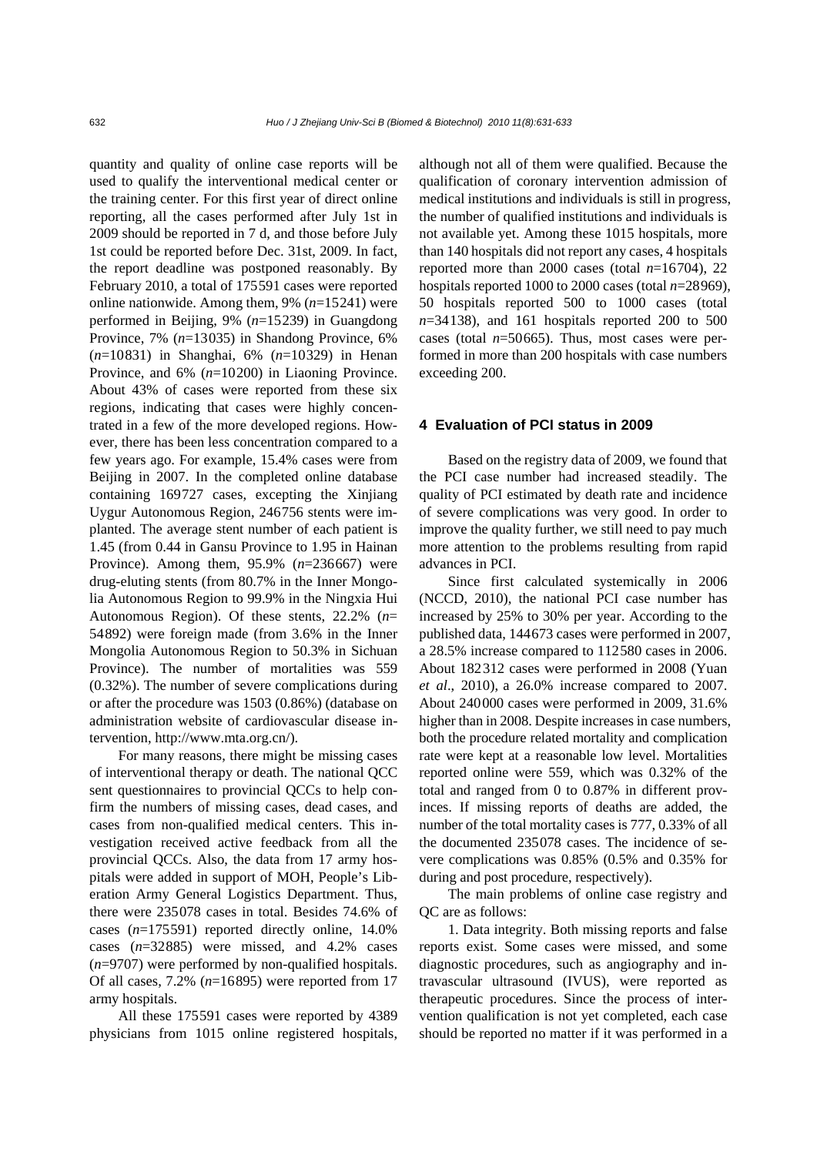quantity and quality of online case reports will be used to qualify the interventional medical center or the training center. For this first year of direct online reporting, all the cases performed after July 1st in 2009 should be reported in 7 d, and those before July 1st could be reported before Dec. 31st, 2009. In fact, the report deadline was postponed reasonably. By February 2010, a total of 175591 cases were reported online nationwide. Among them, 9% (*n*=15241) were performed in Beijing, 9% (*n*=15239) in Guangdong Province, 7% (*n*=13035) in Shandong Province, 6% (*n*=10831) in Shanghai, 6% (*n*=10329) in Henan Province, and 6% (*n*=10200) in Liaoning Province. About 43% of cases were reported from these six regions, indicating that cases were highly concentrated in a few of the more developed regions. However, there has been less concentration compared to a few years ago. For example, 15.4% cases were from Beijing in 2007. In the completed online database containing 169727 cases, excepting the Xinjiang Uygur Autonomous Region, 246756 stents were implanted. The average stent number of each patient is 1.45 (from 0.44 in Gansu Province to 1.95 in Hainan Province). Among them, 95.9% (*n*=236667) were drug-eluting stents (from 80.7% in the Inner Mongolia Autonomous Region to 99.9% in the Ningxia Hui Autonomous Region). Of these stents, 22.2% (*n*= 54892) were foreign made (from 3.6% in the Inner Mongolia Autonomous Region to 50.3% in Sichuan Province). The number of mortalities was 559 (0.32%). The number of severe complications during or after the procedure was 1503 (0.86%) (database on administration website of cardiovascular disease intervention, http://www.mta.org.cn/).

For many reasons, there might be missing cases of interventional therapy or death. The national QCC sent questionnaires to provincial QCCs to help confirm the numbers of missing cases, dead cases, and cases from non-qualified medical centers. This investigation received active feedback from all the provincial QCCs. Also, the data from 17 army hospitals were added in support of MOH, People's Liberation Army General Logistics Department. Thus, there were 235078 cases in total. Besides 74.6% of cases (*n*=175591) reported directly online, 14.0% cases (*n*=32885) were missed, and 4.2% cases (*n*=9707) were performed by non-qualified hospitals. Of all cases, 7.2% (*n*=16895) were reported from 17 army hospitals.

All these 175591 cases were reported by 4389 physicians from 1015 online registered hospitals, although not all of them were qualified. Because the qualification of coronary intervention admission of medical institutions and individuals is still in progress, the number of qualified institutions and individuals is not available yet. Among these 1015 hospitals, more than 140 hospitals did not report any cases, 4 hospitals reported more than 2000 cases (total *n*=16704), 22 hospitals reported 1000 to 2000 cases (total *n*=28969), 50 hospitals reported 500 to 1000 cases (total  $n=34138$ ), and 161 hospitals reported 200 to 500 cases (total *n*=50665). Thus, most cases were performed in more than 200 hospitals with case numbers exceeding 200.

## **4 Evaluation of PCI status in 2009**

Based on the registry data of 2009, we found that the PCI case number had increased steadily. The quality of PCI estimated by death rate and incidence of severe complications was very good. In order to improve the quality further, we still need to pay much more attention to the problems resulting from rapid advances in PCI.

Since first calculated systemically in 2006 (NCCD, 2010), the national PCI case number has increased by 25% to 30% per year. According to the published data, 144673 cases were performed in 2007, a 28.5% increase compared to 112580 cases in 2006. About 182312 cases were performed in 2008 (Yuan *et al*., 2010), a 26.0% increase compared to 2007. About 240000 cases were performed in 2009, 31.6% higher than in 2008. Despite increases in case numbers, both the procedure related mortality and complication rate were kept at a reasonable low level. Mortalities reported online were 559, which was 0.32% of the total and ranged from 0 to 0.87% in different provinces. If missing reports of deaths are added, the number of the total mortality cases is 777, 0.33% of all the documented 235078 cases. The incidence of severe complications was 0.85% (0.5% and 0.35% for during and post procedure, respectively).

The main problems of online case registry and OC are as follows:

1. Data integrity. Both missing reports and false reports exist. Some cases were missed, and some diagnostic procedures, such as angiography and intravascular ultrasound (IVUS), were reported as therapeutic procedures. Since the process of intervention qualification is not yet completed, each case should be reported no matter if it was performed in a